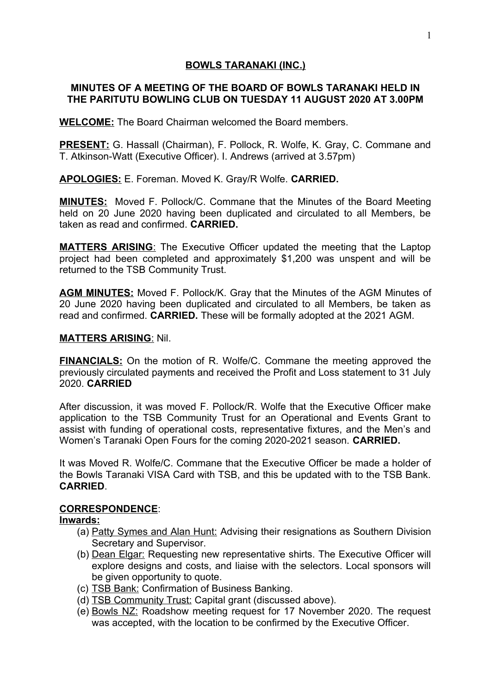## **BOWLS TARANAKI (INC.)**

## **MINUTES OF A MEETING OF THE BOARD OF BOWLS TARANAKI HELD IN THE PARITUTU BOWLING CLUB ON TUESDAY 11 AUGUST 2020 AT 3.00PM**

**WELCOME:** The Board Chairman welcomed the Board members.

**PRESENT:** G. Hassall (Chairman), F. Pollock, R. Wolfe, K. Gray, C. Commane and T. Atkinson-Watt (Executive Officer). I. Andrews (arrived at 3.57pm)

**APOLOGIES:** E. Foreman. Moved K. Gray/R Wolfe. **CARRIED.**

**MINUTES:** Moved F. Pollock/C. Commane that the Minutes of the Board Meeting held on 20 June 2020 having been duplicated and circulated to all Members, be taken as read and confirmed. **CARRIED.**

 **MATTERS ARISING**: The Executive Officer updated the meeting that the Laptop project had been completed and approximately \$1,200 was unspent and will be returned to the TSB Community Trust.

**AGM MINUTES:** Moved F. Pollock/K. Gray that the Minutes of the AGM Minutes of 20 June 2020 having been duplicated and circulated to all Members, be taken as read and confirmed. **CARRIED.** These will be formally adopted at the 2021 AGM.

#### **MATTERS ARISING**: Nil.

**FINANCIALS:** On the motion of R. Wolfe/C. Commane the meeting approved the previously circulated payments and received the Profit and Loss statement to 31 July 2020. **CARRIED**

After discussion, it was moved F. Pollock/R. Wolfe that the Executive Officer make application to the TSB Community Trust for an Operational and Events Grant to assist with funding of operational costs, representative fixtures, and the Men's and Women's Taranaki Open Fours for the coming 2020-2021 season. **CARRIED.**

It was Moved R. Wolfe/C. Commane that the Executive Officer be made a holder of the Bowls Taranaki VISA Card with TSB, and this be updated with to the TSB Bank. **CARRIED**.

### **CORRESPONDENCE**:

#### **Inwards:**

- (a) Patty Symes and Alan Hunt: Advising their resignations as Southern Division Secretary and Supervisor.
- (b) Dean Elgar: Requesting new representative shirts. The Executive Officer will explore designs and costs, and liaise with the selectors. Local sponsors will be given opportunity to quote.
- (c) TSB Bank: Confirmation of Business Banking.
- (d) TSB Community Trust: Capital grant (discussed above).
- (e) Bowls NZ: Roadshow meeting request for 17 November 2020. The request was accepted, with the location to be confirmed by the Executive Officer.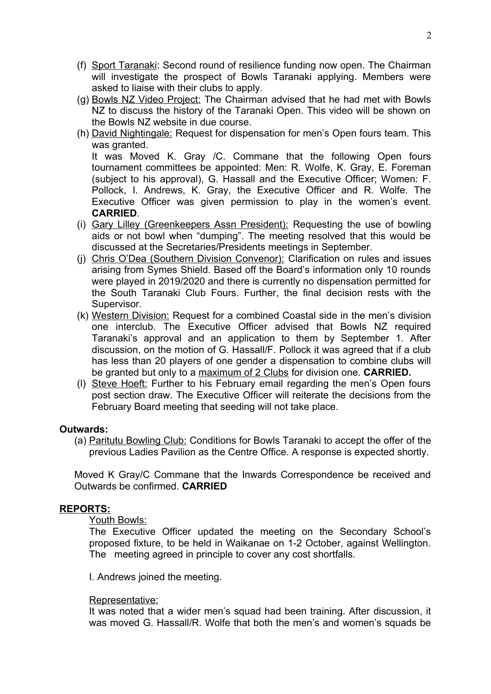- (f) Sport Taranaki: Second round of resilience funding now open. The Chairman will investigate the prospect of Bowls Taranaki applying. Members were asked to liaise with their clubs to apply.
- (g) Bowls NZ Video Project: The Chairman advised that he had met with Bowls NZ to discuss the history of the Taranaki Open. This video will be shown on the Bowls NZ website in due course.
- (h) David Nightingale: Request for dispensation for men's Open fours team. This was granted.

It was Moved K. Gray /C. Commane that the following Open fours tournament committees be appointed: Men: R. Wolfe, K. Gray, E. Foreman (subject to his approval), G. Hassall and the Executive Officer; Women: F. Pollock, I. Andrews, K. Gray, the Executive Officer and R. Wolfe. The Executive Officer was given permission to play in the women's event. **CARRIED**.

- (i) Gary Lilley (Greenkeepers Assn President): Requesting the use of bowling aids or not bowl when "dumping". The meeting resolved that this would be discussed at the Secretaries/Presidents meetings in September.
- (j) Chris O'Dea (Southern Division Convenor): Clarification on rules and issues arising from Symes Shield. Based off the Board's information only 10 rounds were played in 2019/2020 and there is currently no dispensation permitted for the South Taranaki Club Fours. Further, the final decision rests with the Supervisor.
- (k) Western Division: Request for a combined Coastal side in the men's division one interclub. The Executive Officer advised that Bowls NZ required Taranaki's approval and an application to them by September 1. After discussion, on the motion of G. Hassall/F. Pollock it was agreed that if a club has less than 20 players of one gender a dispensation to combine clubs will be granted but only to a maximum of 2 Clubs for division one. **CARRIED.**
- (l) Steve Hoeft: Further to his February email regarding the men's Open fours post section draw. The Executive Officer will reiterate the decisions from the February Board meeting that seeding will not take place.

### **Outwards:**

(a) Paritutu Bowling Club: Conditions for Bowls Taranaki to accept the offer of the previous Ladies Pavilion as the Centre Office. A response is expected shortly.

Moved K Gray/C Commane that the Inwards Correspondence be received and Outwards be confirmed. **CARRIED**

### **REPORTS:**

#### Youth Bowls:

The Executive Officer updated the meeting on the Secondary School's proposed fixture, to be held in Waikanae on 1-2 October, against Wellington. The meeting agreed in principle to cover any cost shortfalls.

I. Andrews joined the meeting.

#### Representative:

It was noted that a wider men's squad had been training. After discussion, it was moved G. Hassall/R. Wolfe that both the men's and women's squads be